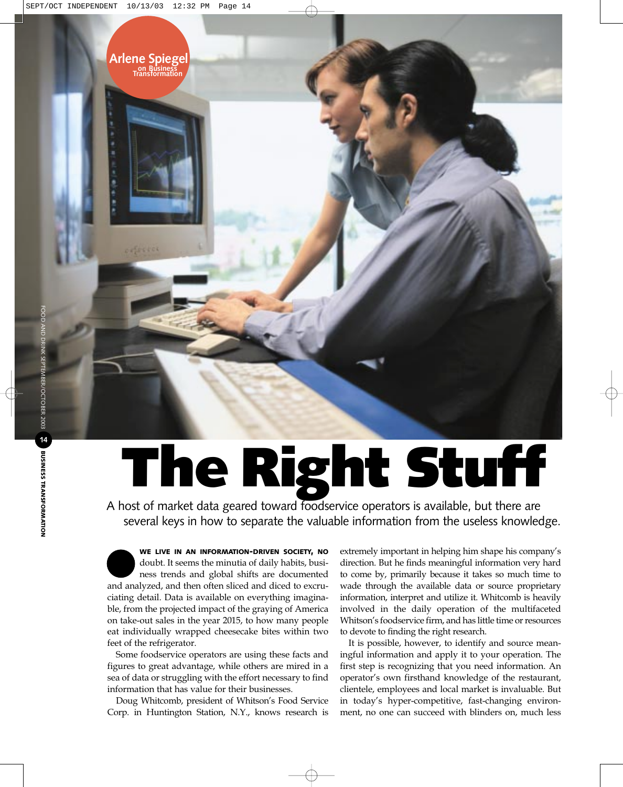## **The Right Stuff**

A host of market data geared toward foodservice operators is available, but there are several keys in how to separate the valuable information from the useless knowledge.

**WE LIVE IN AN INFORMATION-DRIVEN SOCIETY, NO** doubt. It seems the minutia of daily habits, business trends and global shifts are documented and analyzed, and then often sliced and diced to excruciating detail. Data is available on everything imaginable, from the projected impact of the graying of America on take-out sales in the year 2015, to how many people eat individually wrapped cheesecake bites within two feet of the refrigerator.

**Arlene Spiegel** 

Some foodservice operators are using these facts and figures to great advantage, while others are mired in a sea of data or struggling with the effort necessary to find information that has value for their businesses.

Doug Whitcomb, president of Whitson's Food Service Corp. in Huntington Station, N.Y., knows research is

extremely important in helping him shape his company's direction. But he finds meaningful information very hard to come by, primarily because it takes so much time to wade through the available data or source proprietary information, interpret and utilize it. Whitcomb is heavily involved in the daily operation of the multifaceted Whitson's foodservice firm, and has little time or resources to devote to finding the right research.

It is possible, however, to identify and source meaningful information and apply it to your operation. The first step is recognizing that you need information. An operator's own firsthand knowledge of the restaurant, clientele, employees and local market is invaluable. But in today's hyper-competitive, fast-changing environment, no one can succeed with blinders on, much less